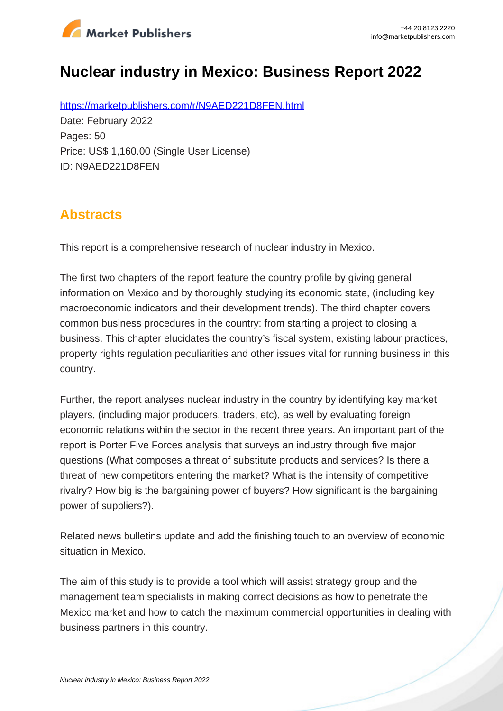

# **Nuclear industry in Mexico: Business Report 2022**

https://marketpublishers.com/r/N9AED221D8FEN.html Date: February 2022 Pages: 50 Price: US\$ 1,160.00 (Single User License) ID: N9AED221D8FEN

### **Abstracts**

This report is a comprehensive research of nuclear industry in Mexico.

The first two chapters of the report feature the country profile by giving general information on Mexico and by thoroughly studying its economic state, (including key macroeconomic indicators and their development trends). The third chapter covers common business procedures in the country: from starting a project to closing a business. This chapter elucidates the country's fiscal system, existing labour practices, property rights regulation peculiarities and other issues vital for running business in this country.

Further, the report analyses nuclear industry in the country by identifying key market players, (including major producers, traders, etc), as well by evaluating foreign economic relations within the sector in the recent three years. An important part of the report is Porter Five Forces analysis that surveys an industry through five major questions (What composes a threat of substitute products and services? Is there a threat of new competitors entering the market? What is the intensity of competitive rivalry? How big is the bargaining power of buyers? How significant is the bargaining power of suppliers?).

Related news bulletins update and add the finishing touch to an overview of economic situation in Mexico.

The aim of this study is to provide a tool which will assist strategy group and the management team specialists in making correct decisions as how to penetrate the Mexico market and how to catch the maximum commercial opportunities in dealing with business partners in this country.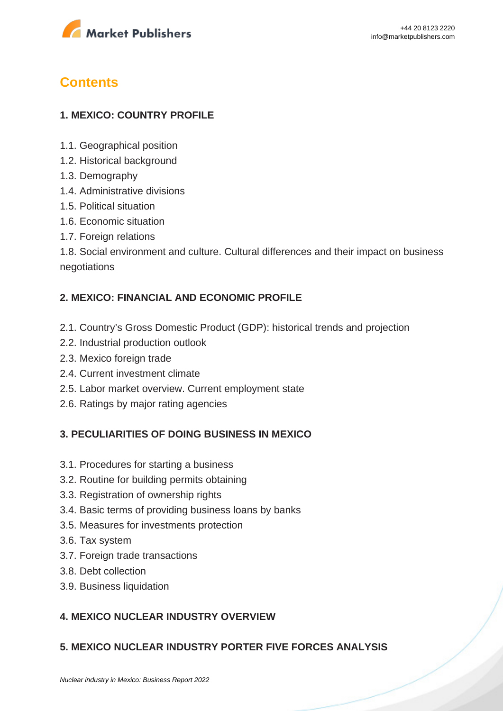

## **Contents**

#### **1. MEXICO: COUNTRY PROFILE**

- 1.1. Geographical position
- 1.2. Historical background
- 1.3. Demography
- 1.4. Administrative divisions
- 1.5. Political situation
- 1.6. Economic situation
- 1.7. Foreign relations

1.8. Social environment and culture. Cultural differences and their impact on business negotiations

#### **2. MEXICO: FINANCIAL AND ECONOMIC PROFILE**

- 2.1. Country's Gross Domestic Product (GDP): historical trends and projection
- 2.2. Industrial production outlook
- 2.3. Mexico foreign trade
- 2.4. Current investment climate
- 2.5. Labor market overview. Current employment state
- 2.6. Ratings by major rating agencies

#### **3. PECULIARITIES OF DOING BUSINESS IN MEXICO**

- 3.1. Procedures for starting a business
- 3.2. Routine for building permits obtaining
- 3.3. Registration of ownership rights
- 3.4. Basic terms of providing business loans by banks
- 3.5. Measures for investments protection
- 3.6. Tax system
- 3.7. Foreign trade transactions
- 3.8. Debt collection
- 3.9. Business liquidation

#### **4. MEXICO NUCLEAR INDUSTRY OVERVIEW**

#### **5. MEXICO NUCLEAR INDUSTRY PORTER FIVE FORCES ANALYSIS**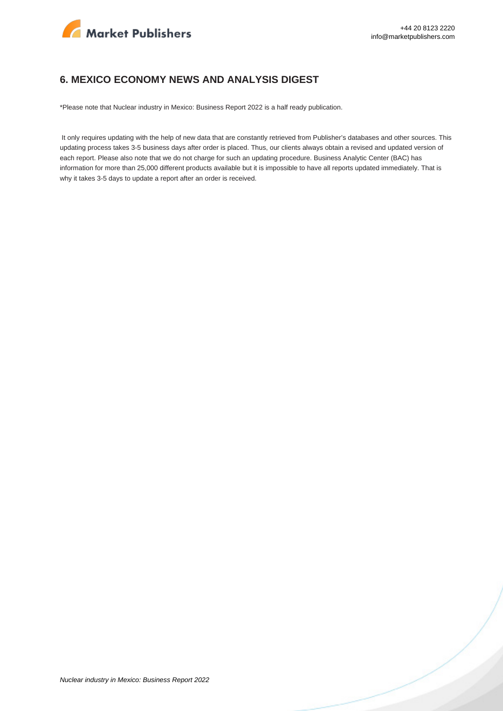

#### **6. MEXICO ECONOMY NEWS AND ANALYSIS DIGEST**

\*Please note that Nuclear industry in Mexico: Business Report 2022 is a half ready publication.

 It only requires updating with the help of new data that are constantly retrieved from Publisher's databases and other sources. This updating process takes 3-5 business days after order is placed. Thus, our clients always obtain a revised and updated version of each report. Please also note that we do not charge for such an updating procedure. Business Analytic Center (BAC) has information for more than 25,000 different products available but it is impossible to have all reports updated immediately. That is why it takes 3-5 days to update a report after an order is received.